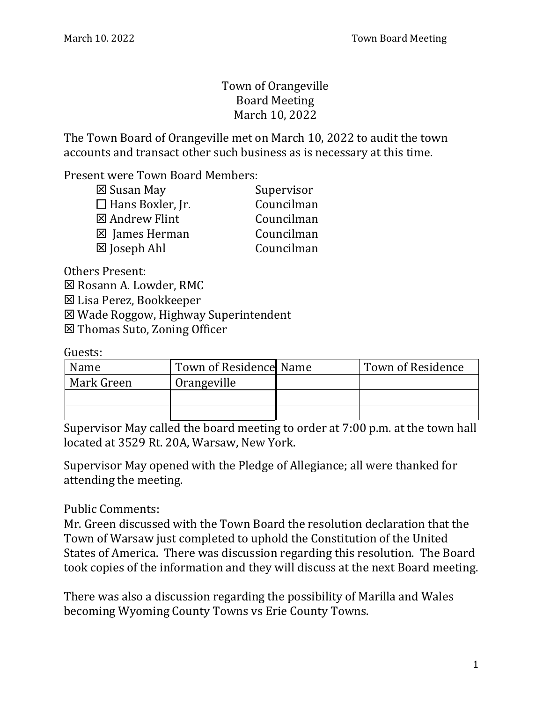## Town of Orangeville Board Meeting March 10, 2022

The Town Board of Orangeville met on March 10, 2022 to audit the town accounts and transact other such business as is necessary at this time.

Present were Town Board Members:

| Supervisor |
|------------|
| Councilman |
| Councilman |
| Councilman |
| Councilman |
|            |

Others Present:

 $⊠$  **Rosann A. Lowder, RMC** 

Lisa Perez, Bookkeeper

Wade Roggow, Highway Superintendent

Thomas Suto, Zoning Officer

Guests:

| Name       | Town of Residence Name | Town of Residence |
|------------|------------------------|-------------------|
| Mark Green | Orangeville            |                   |
|            |                        |                   |
|            |                        |                   |

Supervisor May called the board meeting to order at 7:00 p.m. at the town hall located at 3529 Rt. 20A, Warsaw, New York.

Supervisor May opened with the Pledge of Allegiance; all were thanked for attending the meeting.

Public Comments:

Mr. Green discussed with the Town Board the resolution declaration that the Town of Warsaw just completed to uphold the Constitution of the United States of America. There was discussion regarding this resolution. The Board took copies of the information and they will discuss at the next Board meeting.

There was also a discussion regarding the possibility of Marilla and Wales becoming Wyoming County Towns vs Erie County Towns.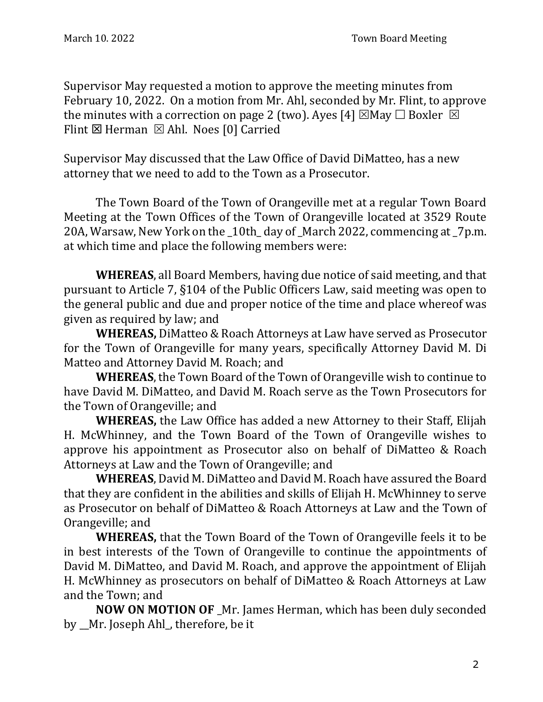Supervisor May requested a motion to approve the meeting minutes from February 10, 2022. On a motion from Mr. Ahl, seconded by Mr. Flint, to approve the minutes with a correction on page 2 (two). Ayes [4]  $\boxtimes$  May  $\Box$  Boxler  $\boxtimes$ Flint  $\boxtimes$  Herman  $\boxtimes$  Ahl. Noes [0] Carried

Supervisor May discussed that the Law Office of David DiMatteo, has a new attorney that we need to add to the Town as a Prosecutor.

The Town Board of the Town of Orangeville met at a regular Town Board Meeting at the Town Offices of the Town of Orangeville located at 3529 Route 20A, Warsaw, New York on the \_10th\_ day of \_March 2022, commencing at \_7p.m. at which time and place the following members were:

**WHEREAS**, all Board Members, having due notice of said meeting, and that pursuant to Article 7, §104 of the Public Officers Law, said meeting was open to the general public and due and proper notice of the time and place whereof was given as required by law; and

**WHEREAS,** DiMatteo & Roach Attorneys at Law have served as Prosecutor for the Town of Orangeville for many years, specifically Attorney David M. Di Matteo and Attorney David M. Roach; and

**WHEREAS**, the Town Board of the Town of Orangeville wish to continue to have David M. DiMatteo, and David M. Roach serve as the Town Prosecutors for the Town of Orangeville; and

**WHEREAS,** the Law Office has added a new Attorney to their Staff, Elijah H. McWhinney, and the Town Board of the Town of Orangeville wishes to approve his appointment as Prosecutor also on behalf of DiMatteo & Roach Attorneys at Law and the Town of Orangeville; and

**WHEREAS**, David M. DiMatteo and David M. Roach have assured the Board that they are confident in the abilities and skills of Elijah H. McWhinney to serve as Prosecutor on behalf of DiMatteo & Roach Attorneys at Law and the Town of Orangeville; and

**WHEREAS,** that the Town Board of the Town of Orangeville feels it to be in best interests of the Town of Orangeville to continue the appointments of David M. DiMatteo, and David M. Roach, and approve the appointment of Elijah H. McWhinney as prosecutors on behalf of DiMatteo & Roach Attorneys at Law and the Town; and

**NOW ON MOTION OF** \_Mr. James Herman, which has been duly seconded by Mr. Joseph Ahl, therefore, be it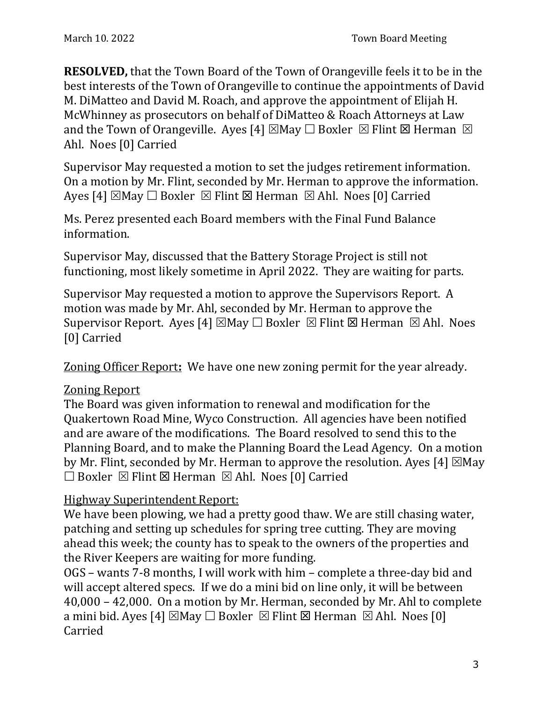**RESOLVED,** that the Town Board of the Town of Orangeville feels it to be in the best interests of the Town of Orangeville to continue the appointments of David M. DiMatteo and David M. Roach, and approve the appointment of Elijah H. McWhinney as prosecutors on behalf of DiMatteo & Roach Attorneys at Law and the Town of Orangeville. Ayes [4]  $\boxtimes$  May  $\Box$  Boxler  $\boxtimes$  Flint  $\boxtimes$  Herman  $\boxtimes$ Ahl. Noes [0] Carried

Supervisor May requested a motion to set the judges retirement information. On a motion by Mr. Flint, seconded by Mr. Herman to approve the information. Ayes [4]  $\boxtimes$ May  $\Box$  Boxler  $\boxtimes$  Flint  $\boxtimes$  Herman  $\boxtimes$  Ahl. Noes [0] Carried

Ms. Perez presented each Board members with the Final Fund Balance information.

Supervisor May, discussed that the Battery Storage Project is still not functioning, most likely sometime in April 2022. They are waiting for parts.

Supervisor May requested a motion to approve the Supervisors Report. A motion was made by Mr. Ahl, seconded by Mr. Herman to approve the Supervisor Report. Ayes [4]  $\boxtimes$  May  $\Box$  Boxler  $\boxtimes$  Flint  $\boxtimes$  Herman  $\boxtimes$  Ahl. Noes [0] Carried

Zoning Officer Report**:** We have one new zoning permit for the year already.

## Zoning Report

The Board was given information to renewal and modification for the Quakertown Road Mine, Wyco Construction. All agencies have been notified and are aware of the modifications. The Board resolved to send this to the Planning Board, and to make the Planning Board the Lead Agency. On a motion by Mr. Flint, seconded by Mr. Herman to approve the resolution. Ayes [4]  $\boxtimes$  May  $\Box$  Boxler  $\boxtimes$  Flint  $\boxtimes$  Herman  $\boxtimes$  Ahl. Noes [0] Carried

## Highway Superintendent Report:

We have been plowing, we had a pretty good thaw. We are still chasing water, patching and setting up schedules for spring tree cutting. They are moving ahead this week; the county has to speak to the owners of the properties and the River Keepers are waiting for more funding.

OGS – wants 7-8 months, I will work with him – complete a three-day bid and will accept altered specs. If we do a mini bid on line only, it will be between 40,000 – 42,000. On a motion by Mr. Herman, seconded by Mr. Ahl to complete a mini bid. Ayes [4]  $\boxtimes$  May  $\Box$  Boxler  $\boxtimes$  Flint  $\boxtimes$  Herman  $\boxtimes$  Ahl. Noes [0] Carried